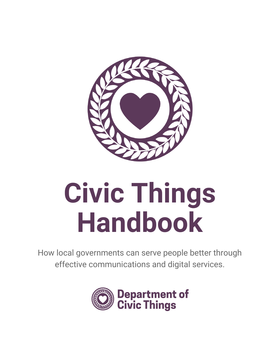

# **Civic Things Handbook**

How local governments can serve people better through effective communications and digital services.

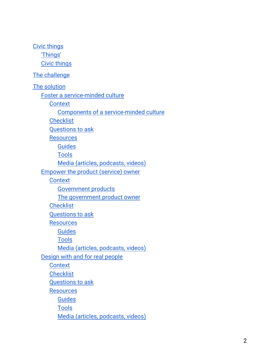Civic [things](#page-3-0) ['Things'](#page-3-1) Civic [things](#page-3-2) The challenge The solution Foster a [service-minded](#page-5-0) culture **[Context](#page-5-1)** Components of a [service-minded](#page-6-0) culture **[Checklist](#page-6-1)** [Questions](#page-6-2) to ask **[Resources](#page-7-0)** [Guides](#page-7-1) [Tools](#page-7-2) Media (articles, [podcasts,](#page-7-3) videos) [Empower](#page-7-4) the product (service) owner **[Context](#page-7-5)** [Government](#page-8-0) products The [government](#page-8-1) product owner **[Checklist](#page-8-2)** [Questions](#page-9-0) to ask **[Resources](#page-9-1)** [Guides](#page-9-2) [Tools](#page-9-3) Media (articles, [podcasts,](#page-9-4) videos) [Design](#page-9-5) with and for real people **[Context](#page-9-6) [Checklist](#page-10-0)** [Questions](#page-10-1) to ask **[Resources](#page-10-2)** [Guides](#page-10-3) [Tools](#page-11-0) Media (articles, [podcasts,](#page-11-1) videos)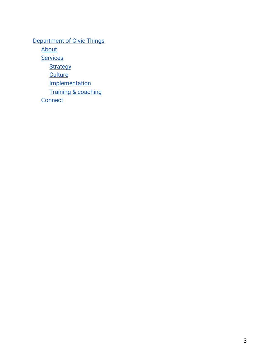[Department](#page-11-2) of Civic Things [About](#page-11-3) **[Services](#page-11-4) [Strategy](#page-11-5) [Culture](#page-11-6) [Implementation](#page-12-0)** Training & [coaching](#page-12-1) **[Connect](#page-12-2)**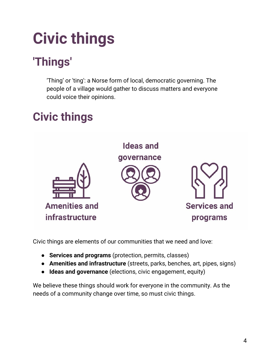## <span id="page-3-0"></span>**Civic things**

## <span id="page-3-1"></span>**'Things'**

'Thing' or 'ting': a Norse form of local, democratic governing. The people of a village would gather to discuss matters and everyone could voice their opinions.

## <span id="page-3-2"></span>**Civic things**



Civic things are elements of our communities that we need and love:

- **Services and programs** (protection, permits, classes)
- **Amenities and infrastructure** (streets, parks, benches, art, pipes, signs)
- **Ideas and governance** (elections, civic engagement, equity)

We believe these things should work for everyone in the community. As the needs of a community change over time, so must civic things.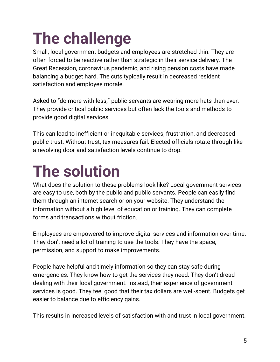## **The challenge**

Small, local government budgets and employees are stretched thin. They are often forced to be reactive rather than strategic in their service delivery. The Great Recession, coronavirus pandemic, and rising pension costs have made balancing a budget hard. The cuts typically result in decreased resident satisfaction and employee morale.

Asked to "do more with less," public servants are wearing more hats than ever. They provide critical public services but often lack the tools and methods to provide good digital services.

This can lead to inefficient or inequitable services, frustration, and decreased public trust. Without trust, tax measures fail. Elected officials rotate through like a revolving door and satisfaction levels continue to drop.

## **The solution**

What does the solution to these problems look like? Local government services are easy to use, both by the public and public servants. People can easily find them through an internet search or on your website. They understand the information without a high level of education or training. They can complete forms and transactions without friction.

Employees are empowered to improve digital services and information over time. They don't need a lot of training to use the tools. They have the space, permission, and support to make improvements.

People have helpful and timely information so they can stay safe during emergencies. They know how to get the services they need. They don't dread dealing with their local government. Instead, their experience of government services is good. They feel good that their tax dollars are well-spent. Budgets get easier to balance due to efficiency gains.

This results in increased levels of satisfaction with and trust in local government.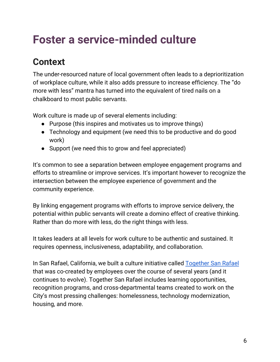## <span id="page-5-0"></span>**Foster a service-minded culture**

### <span id="page-5-1"></span>**Context**

The under-resourced nature of local government often leads to a deprioritization of workplace culture, while it also adds pressure to increase efficiency. The "do more with less" mantra has turned into the equivalent of tired nails on a chalkboard to most public servants.

Work culture is made up of several elements including:

- Purpose (this inspires and motivates us to improve things)
- Technology and equipment (we need this to be productive and do good work)
- Support (we need this to grow and feel appreciated)

It's common to see a separation between employee engagement programs and efforts to streamline or improve services. It's important however to recognize the intersection between the employee experience of government and the community experience.

By linking engagement programs with efforts to improve service delivery, the potential within public servants will create a domino effect of creative thinking. Rather than do more with less, do the right things with less.

It takes leaders at all levels for work culture to be authentic and sustained. It requires openness, inclusiveness, adaptability, and collaboration.

In San Rafael, California, we built a culture initiative called [Together](https://employees.cityofsanrafael.org/departments/together-san-rafael) San Rafael that was co-created by employees over the course of several years (and it continues to evolve). Together San Rafael includes learning opportunities, recognition programs, and cross-departmental teams created to work on the City's most pressing challenges: homelessness, technology modernization, housing, and more.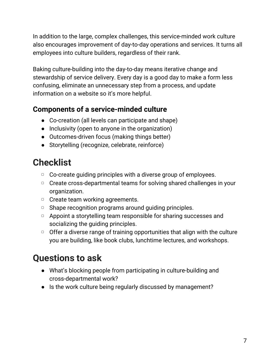In addition to the large, complex challenges, this service-minded work culture also encourages improvement of day-to-day operations and services. It turns all employees into culture builders, regardless of their rank.

Baking culture-building into the day-to-day means iterative change and stewardship of service delivery. Every day is a good day to make a form less confusing, eliminate an unnecessary step from a process, and update information on a website so it's more helpful.

#### <span id="page-6-0"></span>**Components of a service-minded culture**

- Co-creation (all levels can participate and shape)
- Inclusivity (open to anyone in the organization)
- Outcomes-driven focus (making things better)
- Storytelling (recognize, celebrate, reinforce)

#### <span id="page-6-1"></span>**Checklist**

- □ Co-create guiding principles with a diverse group of employees.
- ▢ Create cross-departmental teams for solving shared challenges in your organization.
- ▢ Create team working agreements.
- □ Shape recognition programs around guiding principles.
- ▢ Appoint a storytelling team responsible for sharing successes and socializing the guiding principles.
- $\overline{O}$  Offer a diverse range of training opportunities that align with the culture you are building, like book clubs, lunchtime lectures, and workshops.

## <span id="page-6-2"></span>**Questions to ask**

- What's blocking people from participating in culture-building and cross-departmental work?
- Is the work culture being regularly discussed by management?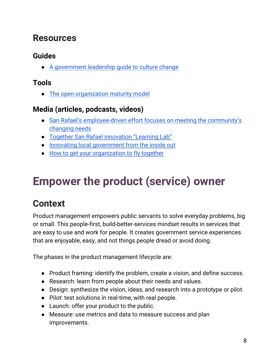#### <span id="page-7-0"></span>**Resources**

#### <span id="page-7-1"></span>**Guides**

● A [government](https://www.redhat.com/en/resources/government-open-leadership-guide) leadership guide to culture change

#### <span id="page-7-2"></span>**Tools**

● The open [organization](https://opensource.com/open-organization/resources/open-org-maturity-model) maturity model

#### <span id="page-7-3"></span>**Media (articles, podcasts, videos)**

- San Rafael's [employee-driven](https://www.westerncity.com/article/san-rafaels-employee-driven-effort-focuses-meeting-communitys-changing-needs) effort focuses on meeting the community's [changing](https://www.westerncity.com/article/san-rafaels-employee-driven-effort-focuses-meeting-communitys-changing-needs) needs
- Together San Rafael [innovation](https://civicmakers.com/projects/san-rafael-learning-lab/) "Learning Lab"
- Innovating local [government](https://elgl.org/innovating-local-government-from-the-inside-out/) from the inside out
- How to get your [organization](https://elgl.org/how-to-get-your-organization-to-fly-together/) to fly together

## <span id="page-7-4"></span>**Empower the product (service) owner**

### <span id="page-7-5"></span>**Context**

Product management empowers public servants to solve everyday problems, big or small. This people-first, build-better-services mindset results in services that are easy to use and work for people. It creates government service experiences that are enjoyable, easy, and not things people dread or avoid doing.

The phases in the product management lifecycle are:

- Product framing: identify the problem, create a vision, and define success.
- Research: learn from people about their needs and values.
- Design: synthesize the vision, ideas, and research into a prototype or pilot.
- Pilot: test solutions in real-time, with real people.
- Launch: offer your product to the public.
- Measure: use metrics and data to measure success and plan improvements.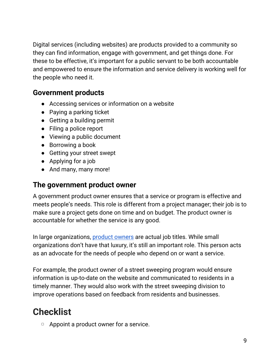Digital services (including websites) are products provided to a community so they can find information, engage with government, and get things done. For these to be effective, it's important for a public servant to be both accountable and empowered to ensure the information and service delivery is working well for the people who need it.

#### <span id="page-8-0"></span>**Government products**

- Accessing services or information on a website
- Paying a parking ticket
- Getting a building permit
- Filing a police report
- Viewing a public document
- Borrowing a book
- Getting your street swept
- Applying for a job
- And many, many more!

#### <span id="page-8-1"></span>**The government product owner**

A government product owner ensures that a service or program is effective and meets people's needs. This role is different from a project manager; their job is to make sure a project gets done on time and on budget. The product owner is accountable for whether the service is any good.

In large organizations, [product](https://deptofcivicthings.com/what-is-a-product-owner/) owners are actual job titles. While small organizations don't have that luxury, it's still an important role. This person acts as an advocate for the needs of people who depend on or want a service.

For example, the product owner of a street sweeping program would ensure information is up-to-date on the website and communicated to residents in a timely manner. They would also work with the street sweeping division to improve operations based on feedback from residents and businesses.

#### <span id="page-8-2"></span>**Checklist**

▢ Appoint a product owner for a service.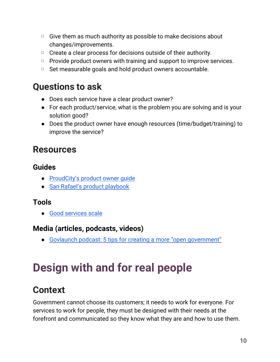- □ Give them as much authority as possible to make decisions about changes/improvements.
- ▢ Create a clear process for decisions outside of their authority.
- ▢ Provide product owners with training and support to improve services.
- ▢ Set measurable goals and hold product owners accountable.

#### <span id="page-9-0"></span>**Questions to ask**

- Does each service have a clear product owner?
- For each product/service, what is the problem you are solving and is your solution good?
- Does the product owner have enough resources (time/budget/training) to improve the service?

#### <span id="page-9-1"></span>**Resources**

#### <span id="page-9-2"></span>**Guides**

- [ProudCity's](https://help.proudcity.com/guide-product-owner/) product owner guide
- San Rafael's product [playbook](https://employees.cityofsanrafael.org/product)

#### <span id="page-9-3"></span>**Tools**

● Good [services](https://good.services/the-good-services-scale) scale

#### <span id="page-9-4"></span>**Media (articles, podcasts, videos)**

● Govlaunch podcast: 5 tips for creating a more "open [government"](https://govlaunch.com/stories/5-tips-for-creating-a-more-open-government)

## <span id="page-9-5"></span>**Design with and for real people**

#### <span id="page-9-6"></span>**Context**

Government cannot choose its customers; it needs to work for everyone. For services to work for people, they must be designed with their needs at the forefront and communicated so they know what they are and how to use them.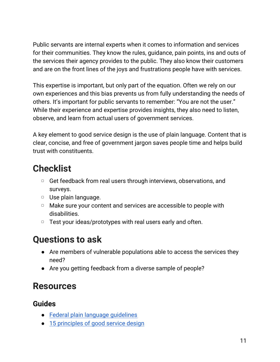Public servants are internal experts when it comes to information and services for their communities. They know the rules, guidance, pain points, ins and outs of the services their agency provides to the public. They also know their customers and are on the front lines of the joys and frustrations people have with services.

This expertise is important, but only part of the equation. Often we rely on our own experiences and this bias prevents us from fully understanding the needs of others. It's important for public servants to remember: "You are not the user." While their experience and expertise provides insights, they also need to listen, observe, and learn from actual users of government services.

A key element to good service design is the use of plain language. Content that is clear, concise, and free of government jargon saves people time and helps build trust with constituents.

#### <span id="page-10-0"></span>**Checklist**

- ▢ Get feedback from real users through interviews, observations, and surveys.
- ▢ Use plain language.
- ▢ Make sure your content and services are accessible to people with disabilities.
- ▢ Test your ideas/prototypes with real users early and often.

#### <span id="page-10-1"></span>**Questions to ask**

- Are members of vulnerable populations able to access the services they need?
- Are you getting feedback from a diverse sample of people?

#### <span id="page-10-2"></span>**Resources**

#### <span id="page-10-3"></span>**Guides**

- Federal plain language [guidelines](https://www.plainlanguage.gov/guidelines/)
- 15 [principles](https://good.services/15-principles-of-good-service-design) of good service design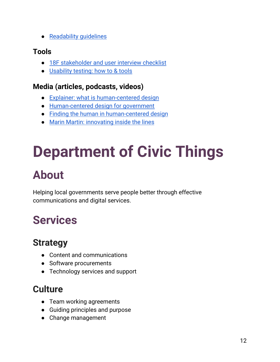● [Readability](https://readabilityguidelines.co.uk/) guidelines

#### <span id="page-11-0"></span>**Tools**

- 18F [stakeholder](https://methods.18f.gov/interview-checklist/) and user interview checklist
- [Usability](https://www.usability.gov/how-to-and-tools/methods/usability-testing.html) testing: how to & tools

#### <span id="page-11-1"></span>**Media (articles, podcasts, videos)**

- Explainer: what is [human-centered](https://medium.com/@BloombergCities/explainer-what-is-human-centered-design-4d7883d406ce) design
- [Human-centered](http://www.governing.com/cityaccelerator/blog/Human-Centered-Design-for-Government.html) design for government
- Finding the human in [human-centered](http://www.innovategovernment.com/boston-blog/2017/4/1/finding-the-human-in-human-centered-design) design
- Marin Martin: [innovating](https://youtu.be/GFgECfg6MzE?t=525) inside the lines

## <span id="page-11-2"></span>**Department of Civic Things**

## <span id="page-11-3"></span>**About**

Helping local governments serve people better through effective communications and digital services.

## <span id="page-11-4"></span>**Services**

#### <span id="page-11-5"></span>**Strategy**

- Content and communications
- Software procurements
- Technology services and support

### <span id="page-11-6"></span>**Culture**

- Team working agreements
- Guiding principles and purpose
- Change management